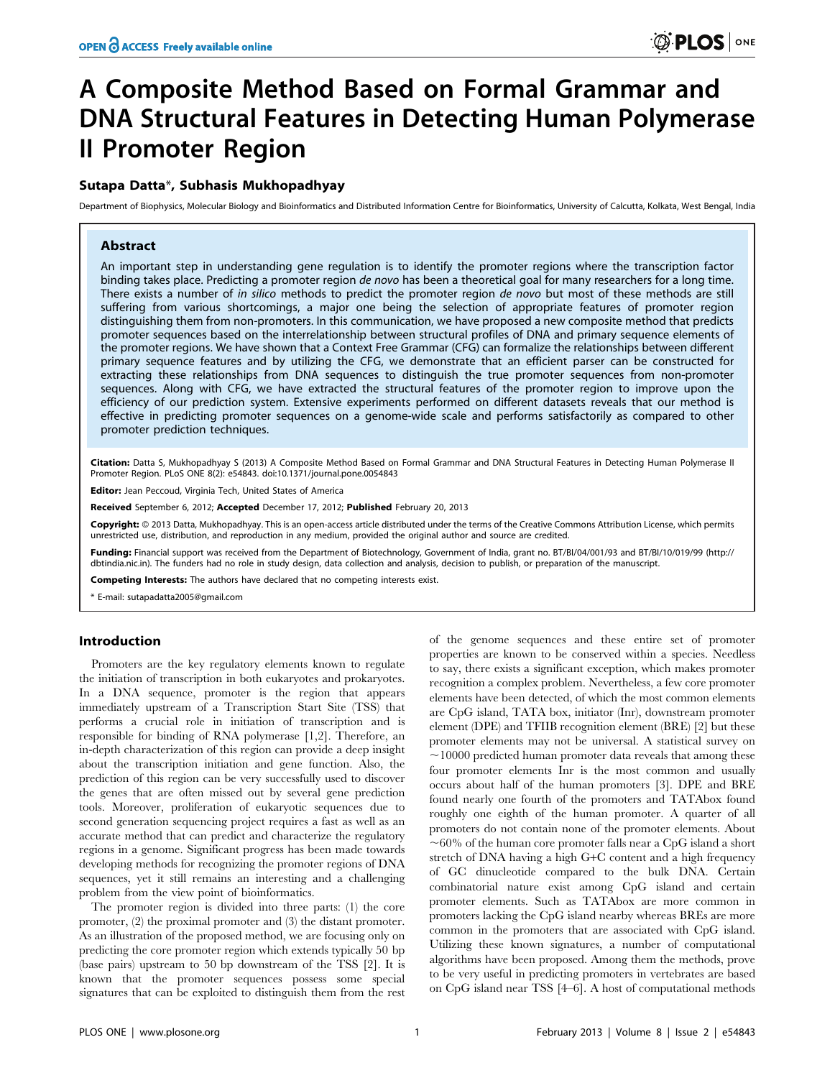# A Composite Method Based on Formal Grammar and DNA Structural Features in Detecting Human Polymerase II Promoter Region

# Sutapa Datta\*, Subhasis Mukhopadhyay

Department of Biophysics, Molecular Biology and Bioinformatics and Distributed Information Centre for Bioinformatics, University of Calcutta, Kolkata, West Bengal, India

# Abstract

An important step in understanding gene regulation is to identify the promoter regions where the transcription factor binding takes place. Predicting a promoter region de novo has been a theoretical goal for many researchers for a long time. There exists a number of in silico methods to predict the promoter region de novo but most of these methods are still suffering from various shortcomings, a major one being the selection of appropriate features of promoter region distinguishing them from non-promoters. In this communication, we have proposed a new composite method that predicts promoter sequences based on the interrelationship between structural profiles of DNA and primary sequence elements of the promoter regions. We have shown that a Context Free Grammar (CFG) can formalize the relationships between different primary sequence features and by utilizing the CFG, we demonstrate that an efficient parser can be constructed for extracting these relationships from DNA sequences to distinguish the true promoter sequences from non-promoter sequences. Along with CFG, we have extracted the structural features of the promoter region to improve upon the efficiency of our prediction system. Extensive experiments performed on different datasets reveals that our method is effective in predicting promoter sequences on a genome-wide scale and performs satisfactorily as compared to other promoter prediction techniques.

Citation: Datta S, Mukhopadhyay S (2013) A Composite Method Based on Formal Grammar and DNA Structural Features in Detecting Human Polymerase II Promoter Region. PLoS ONE 8(2): e54843. doi:10.1371/journal.pone.0054843

Editor: Jean Peccoud, Virginia Tech, United States of America

Received September 6, 2012; Accepted December 17, 2012; Published February 20, 2013

**Copyright:** © 2013 Datta, Mukhopadhyay. This is an open-access article distributed under the terms of the Creative Commons Attribution License, which permits unrestricted use, distribution, and reproduction in any medium, provided the original author and source are credited.

Funding: Financial support was received from the Department of Biotechnology, Government of India, grant no. BT/BI/04/001/93 and BT/BI/10/019/99 (http:// dbtindia.nic.in). The funders had no role in study design, data collection and analysis, decision to publish, or preparation of the manuscript.

Competing Interests: The authors have declared that no competing interests exist.

\* E-mail: sutapadatta2005@gmail.com

## Introduction

Promoters are the key regulatory elements known to regulate the initiation of transcription in both eukaryotes and prokaryotes. In a DNA sequence, promoter is the region that appears immediately upstream of a Transcription Start Site (TSS) that performs a crucial role in initiation of transcription and is responsible for binding of RNA polymerase [1,2]. Therefore, an in-depth characterization of this region can provide a deep insight about the transcription initiation and gene function. Also, the prediction of this region can be very successfully used to discover the genes that are often missed out by several gene prediction tools. Moreover, proliferation of eukaryotic sequences due to second generation sequencing project requires a fast as well as an accurate method that can predict and characterize the regulatory regions in a genome. Significant progress has been made towards developing methods for recognizing the promoter regions of DNA sequences, yet it still remains an interesting and a challenging problem from the view point of bioinformatics.

The promoter region is divided into three parts: (1) the core promoter, (2) the proximal promoter and (3) the distant promoter. As an illustration of the proposed method, we are focusing only on predicting the core promoter region which extends typically 50 bp (base pairs) upstream to 50 bp downstream of the TSS [2]. It is known that the promoter sequences possess some special signatures that can be exploited to distinguish them from the rest

of the genome sequences and these entire set of promoter properties are known to be conserved within a species. Needless to say, there exists a significant exception, which makes promoter recognition a complex problem. Nevertheless, a few core promoter elements have been detected, of which the most common elements are CpG island, TATA box, initiator (Inr), downstream promoter element (DPE) and TFIIB recognition element (BRE) [2] but these promoter elements may not be universal. A statistical survey on  $\sim$ 10000 predicted human promoter data reveals that among these four promoter elements Inr is the most common and usually occurs about half of the human promoters [3]. DPE and BRE found nearly one fourth of the promoters and TATAbox found roughly one eighth of the human promoter. A quarter of all promoters do not contain none of the promoter elements. About  $\sim60\%$  of the human core promoter falls near a CpG island a short stretch of DNA having a high G+C content and a high frequency of GC dinucleotide compared to the bulk DNA. Certain combinatorial nature exist among CpG island and certain promoter elements. Such as TATAbox are more common in promoters lacking the CpG island nearby whereas BREs are more common in the promoters that are associated with CpG island. Utilizing these known signatures, a number of computational algorithms have been proposed. Among them the methods, prove to be very useful in predicting promoters in vertebrates are based on CpG island near TSS [4–6]. A host of computational methods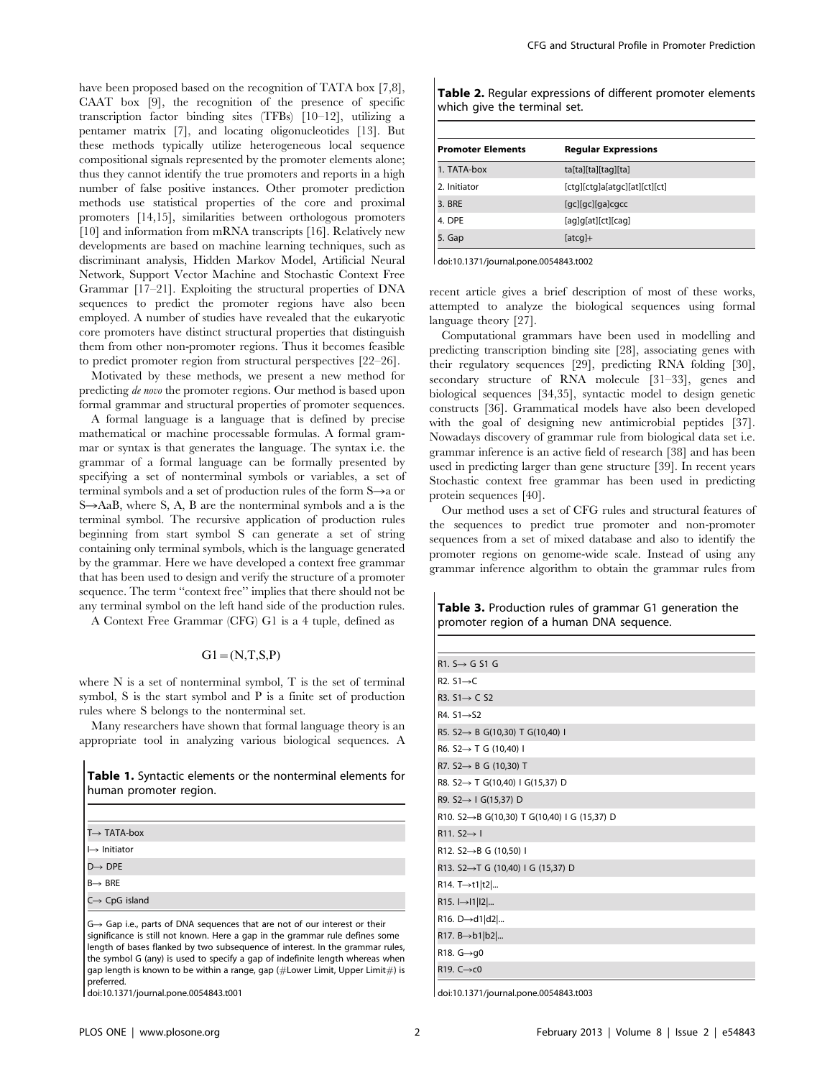have been proposed based on the recognition of TATA box [7,8], CAAT box [9], the recognition of the presence of specific transcription factor binding sites (TFBs) [10–12], utilizing a pentamer matrix [7], and locating oligonucleotides [13]. But these methods typically utilize heterogeneous local sequence compositional signals represented by the promoter elements alone; thus they cannot identify the true promoters and reports in a high number of false positive instances. Other promoter prediction methods use statistical properties of the core and proximal promoters [14,15], similarities between orthologous promoters [10] and information from mRNA transcripts [16]. Relatively new developments are based on machine learning techniques, such as discriminant analysis, Hidden Markov Model, Artificial Neural Network, Support Vector Machine and Stochastic Context Free Grammar [17–21]. Exploiting the structural properties of DNA sequences to predict the promoter regions have also been employed. A number of studies have revealed that the eukaryotic core promoters have distinct structural properties that distinguish them from other non-promoter regions. Thus it becomes feasible to predict promoter region from structural perspectives [22–26].

Motivated by these methods, we present a new method for predicting de novo the promoter regions. Our method is based upon formal grammar and structural properties of promoter sequences.

A formal language is a language that is defined by precise mathematical or machine processable formulas. A formal grammar or syntax is that generates the language. The syntax i.e. the grammar of a formal language can be formally presented by specifying a set of nonterminal symbols or variables, a set of terminal symbols and a set of production rules of the form  $S\rightarrow a$  or  $S\rightarrow AaB$ , where S, A, B are the nonterminal symbols and a is the terminal symbol. The recursive application of production rules beginning from start symbol S can generate a set of string containing only terminal symbols, which is the language generated by the grammar. Here we have developed a context free grammar that has been used to design and verify the structure of a promoter sequence. The term ''context free'' implies that there should not be any terminal symbol on the left hand side of the production rules.

A Context Free Grammar (CFG) G1 is a 4 tuple, defined as

# $G1 = (N,T,S,P)$

where N is a set of nonterminal symbol, T is the set of terminal symbol, S is the start symbol and P is a finite set of production rules where S belongs to the nonterminal set.

Many researchers have shown that formal language theory is an appropriate tool in analyzing various biological sequences. A

| <b>Table 1.</b> Syntactic elements or the nonterminal elements for |  |  |
|--------------------------------------------------------------------|--|--|
| human promoter region.                                             |  |  |

| $T \rightarrow TATA-box$                                                                                                                                                                                                                                  |
|-----------------------------------------------------------------------------------------------------------------------------------------------------------------------------------------------------------------------------------------------------------|
| $\mathsf{l} \mapsto \mathsf{l}\mathsf{n}$ itiator                                                                                                                                                                                                         |
| $D \rightarrow DPE$                                                                                                                                                                                                                                       |
| $B \rightarrow BRE$                                                                                                                                                                                                                                       |
| $C \rightarrow CpG$ island                                                                                                                                                                                                                                |
| $G \rightarrow$ Gap i.e., parts of DNA sequences that are not of our interest or their<br>significance is still not known. Here a gap in the grammar rule defines some<br>I length of bases flanked by two subsequence of interest. In the grammar rules, |

length of bases flanked by two subsequence of interest. In the grammar rules, the symbol G (any) is used to specify a gap of indefinite length whereas when gap length is known to be within a range, gap  $(\#Lower Limit, Upper Limit,#)$  is preferred.

doi:10.1371/journal.pone.0054843.t001

| <b>Promoter Elements</b> | <b>Regular Expressions</b>    |  |
|--------------------------|-------------------------------|--|
| 1. TATA-box              | ta[ta][ta][taq][ta]           |  |
| 2. Initiator             | [ctg][ctg]a[atgc][at][ct][ct] |  |
| 3. BRE                   | [gc][gc][ga]cgcc              |  |
| 4. DPE                   | [aq]q[at][ct][caq]            |  |
| 5. Gap                   | $[atcq] +$                    |  |

Table 2. Regular expressions of different promoter elements which give the terminal set.

doi:10.1371/journal.pone.0054843.t002

recent article gives a brief description of most of these works, attempted to analyze the biological sequences using formal language theory [27].

Computational grammars have been used in modelling and predicting transcription binding site [28], associating genes with their regulatory sequences [29], predicting RNA folding [30], secondary structure of RNA molecule [31–33], genes and biological sequences [34,35], syntactic model to design genetic constructs [36]. Grammatical models have also been developed with the goal of designing new antimicrobial peptides [37]. Nowadays discovery of grammar rule from biological data set i.e. grammar inference is an active field of research [38] and has been used in predicting larger than gene structure [39]. In recent years Stochastic context free grammar has been used in predicting protein sequences [40].

Our method uses a set of CFG rules and structural features of the sequences to predict true promoter and non-promoter sequences from a set of mixed database and also to identify the promoter regions on genome-wide scale. Instead of using any grammar inference algorithm to obtain the grammar rules from

Table 3. Production rules of grammar G1 generation the promoter region of a human DNA sequence.

| $R1. S \rightarrow G S1 G$                   |
|----------------------------------------------|
| $R2. S1 \rightarrow C$                       |
| $R3. S1 \rightarrow C. S2$                   |
| $RA. S1 \rightarrow S2$                      |
| R5. S2 $\rightarrow$ B G(10,30) T G(10,40) I |
| R6. $52 \rightarrow T G (10,40)$ I           |
| R7. S2→ B G (10,30) T                        |
| R8. S2→ T G(10,40) I G(15,37) D              |
| R9. S2→ I G(15,37) D                         |
| R10. S2→B G(10,30) T G(10,40) I G (15,37) D  |
| $R11.52 \rightarrow I$                       |
| R12. S2→B G (10,50) I                        |
| R13. S2→T G (10,40) I G (15,37) D            |
| R14. T→t1 t2                                 |
| R15. I→I1 I2                                 |
| R16. D→d1 d2                                 |
| R17. B→b1 b2                                 |
| R <sub>18</sub> . $G \rightarrow q0$         |
| R <sub>19</sub> . $C \rightarrow C0$         |

doi:10.1371/journal.pone.0054843.t003

 $\mathbf{I}$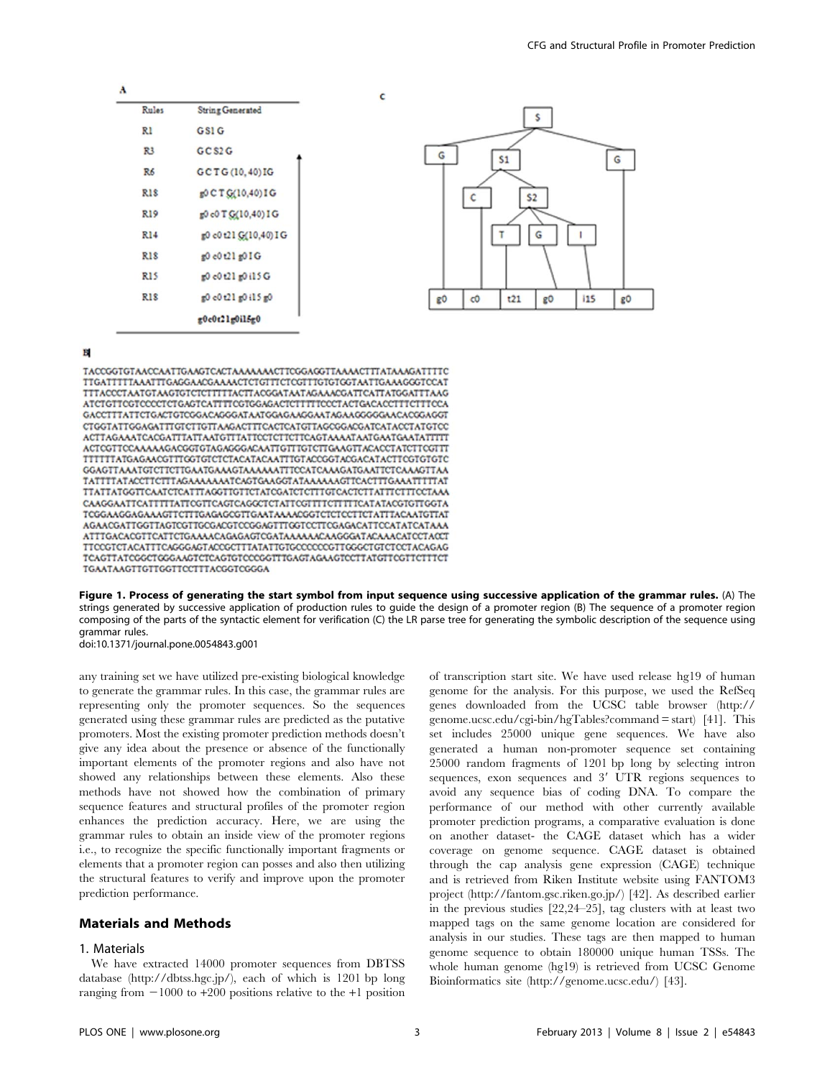| Rules           | String Generated                         |
|-----------------|------------------------------------------|
| R1              | GSI G                                    |
| R3              | GCS2G                                    |
| R6              | GCTG(10,40)IG                            |
| R <sub>18</sub> | g0 C T G(10,40) I G                      |
| <b>R19</b>      | g0 c0 T G(10,40) I G                     |
| R14             | p0 c0 t21 G(10,40) IG                    |
| <b>R18</b>      | g0 c0 t21 g0 IG                          |
| <b>R15</b>      | $E0$ c0 t21 $E0$ i15 G                   |
| R18             | 20c0t21z0t15z0                           |
|                 | $\frac{\pi}{60}$ c $0t21$ g $0i15$ g $0$ |



## B

TACCGGTGTAACCAATTGAAGTCACTAAAAAAACTTCGGAGGTTAAAACTTTATAAAGATTTTC TTGATTTTTAAATTTGAGGAACGAAAACTCTGTTTCTCGTTTGTGTGGTAATTGAAAGGGTCCAT TTTACCCTAATGTAAGTGTCTCTTTTTACTTACGGATAATAGAAACGATTCATTATGGATTTAAG ATCIGITCGTCCCCTCTGAGICATITICGTGGAGACICITITICCCTACIGACACCITICTITCCA GACCTTTATTCTGACTGTCGGACAGGGATAATGGAGAAGGAATAGAAGGGGGAACACGGAGGT CTGGTATTGGAGATTTGTCTTGTTAAGACTTTCACTCATGTTAGCGGACGATCATACCTATGTCC TTTTTTATGAGAACGTTTGGTGTCTCTACATACAATTTGTACCGGTACGACATACTTCGTGTGTC GGAGTTAAATGTCTTCTTGAATGAAAGTAAAAAATTTCCATCAAAGATGAATTCTCAAAGTTAA TATTTTATACCTTCTTTAGAAAAAAATCAGTGAAGGTATAAAAAAGTTCACTTTGAAATTTTTAT CAAGGAATTCATTTTTATTCGTTCAGTCAGGCTCTATTCGTTTTCTTTTCATATACGTGTTGGTA TCGGAAGGAGAAAGTTCTTTGAGAGCGTTGAATAAAACGGTCTCTCCTTCTATTTACAATGTTAT AGAACGATTGGTTAGTCGTTGCGACGTCCGGAGTTTGGTCCTTCGAGACATTCCATATCATAAA ATTTGACACGTTCATTCTGAAAACAGAGAGTCGATAAAAAACAAGGGATACAAACATCCTACCT TTCCGTCTACATTTCAGGGAGTACCGCTTTATATTGTGCCCCCCCTTGGGCTGTCTCCTACAGAG TGAATAAGTTGTTGGTTCCTTTACGGTCGGGA

Figure 1. Process of generating the start symbol from input sequence using successive application of the grammar rules. (A) The strings generated by successive application of production rules to guide the design of a promoter region (B) The sequence of a promoter region composing of the parts of the syntactic element for verification (C) the LR parse tree for generating the symbolic description of the sequence using grammar rules.

 $\epsilon$ 

doi:10.1371/journal.pone.0054843.g001

any training set we have utilized pre-existing biological knowledge to generate the grammar rules. In this case, the grammar rules are representing only the promoter sequences. So the sequences generated using these grammar rules are predicted as the putative promoters. Most the existing promoter prediction methods doesn't give any idea about the presence or absence of the functionally important elements of the promoter regions and also have not showed any relationships between these elements. Also these methods have not showed how the combination of primary sequence features and structural profiles of the promoter region enhances the prediction accuracy. Here, we are using the grammar rules to obtain an inside view of the promoter regions i.e., to recognize the specific functionally important fragments or elements that a promoter region can posses and also then utilizing the structural features to verify and improve upon the promoter prediction performance.

## Materials and Methods

### 1. Materials

We have extracted 14000 promoter sequences from DBTSS database (http://dbtss.hgc.jp/), each of which is 1201 bp long ranging from  $-1000$  to  $+200$  positions relative to the  $+1$  position of transcription start site. We have used release hg19 of human genome for the analysis. For this purpose, we used the RefSeq genes downloaded from the UCSC table browser (http:// genome.ucsc.edu/cgi-bin/hgTables?command = start) [41]. This set includes 25000 unique gene sequences. We have also generated a human non-promoter sequence set containing 25000 random fragments of 1201 bp long by selecting intron sequences, exon sequences and  $3'$  UTR regions sequences to avoid any sequence bias of coding DNA. To compare the performance of our method with other currently available promoter prediction programs, a comparative evaluation is done on another dataset- the CAGE dataset which has a wider coverage on genome sequence. CAGE dataset is obtained through the cap analysis gene expression (CAGE) technique and is retrieved from Riken Institute website using FANTOM3 project (http://fantom.gsc.riken.go.jp/) [42]. As described earlier in the previous studies [22,24–25], tag clusters with at least two mapped tags on the same genome location are considered for analysis in our studies. These tags are then mapped to human genome sequence to obtain 180000 unique human TSSs. The whole human genome (hg19) is retrieved from UCSC Genome Bioinformatics site (http://genome.ucsc.edu/) [43].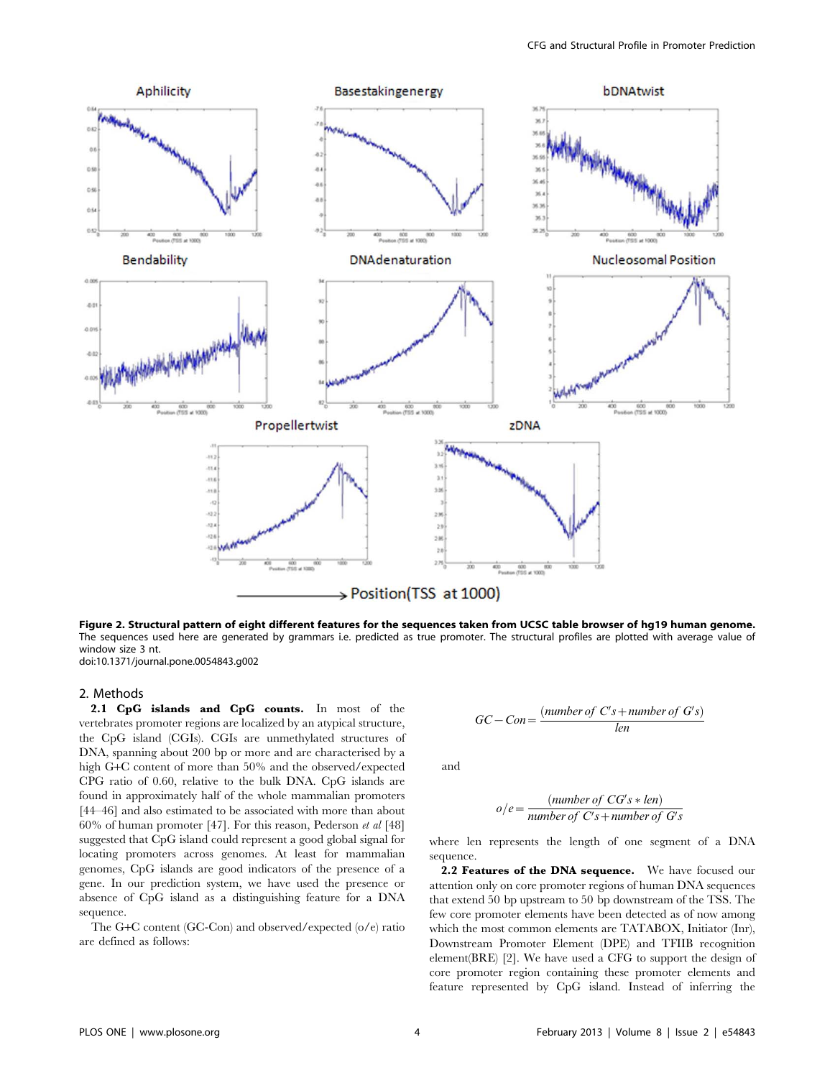

Figure 2. Structural pattern of eight different features for the sequences taken from UCSC table browser of hg19 human genome. The sequences used here are generated by grammars i.e. predicted as true promoter. The structural profiles are plotted with average value of window size 3 nt. doi:10.1371/journal.pone.0054843.g002

#### 2. Methods

2.1 CpG islands and CpG counts. In most of the vertebrates promoter regions are localized by an atypical structure, the CpG island (CGIs). CGIs are unmethylated structures of DNA, spanning about 200 bp or more and are characterised by a high G+C content of more than 50% and the observed/expected CPG ratio of 0.60, relative to the bulk DNA. CpG islands are found in approximately half of the whole mammalian promoters [44–46] and also estimated to be associated with more than about 60% of human promoter [47]. For this reason, Pederson et al [48] suggested that CpG island could represent a good global signal for locating promoters across genomes. At least for mammalian genomes, CpG islands are good indicators of the presence of a gene. In our prediction system, we have used the presence or absence of CpG island as a distinguishing feature for a DNA sequence.

The G+C content (GC-Con) and observed/expected (o/e) ratio are defined as follows:

$$
GC-Con = \frac{(number\ of\ C's + number\ of\ G's)}{len}
$$

and

$$
o/e = \frac{(number\ of\ CG's\ast len)}{number\ of\ C's + number\ of\ G's}
$$

where len represents the length of one segment of a DNA sequence.

2.2 Features of the DNA sequence. We have focused our attention only on core promoter regions of human DNA sequences that extend 50 bp upstream to 50 bp downstream of the TSS. The few core promoter elements have been detected as of now among which the most common elements are TATABOX, Initiator (Inr), Downstream Promoter Element (DPE) and TFIIB recognition element(BRE) [2]. We have used a CFG to support the design of core promoter region containing these promoter elements and feature represented by CpG island. Instead of inferring the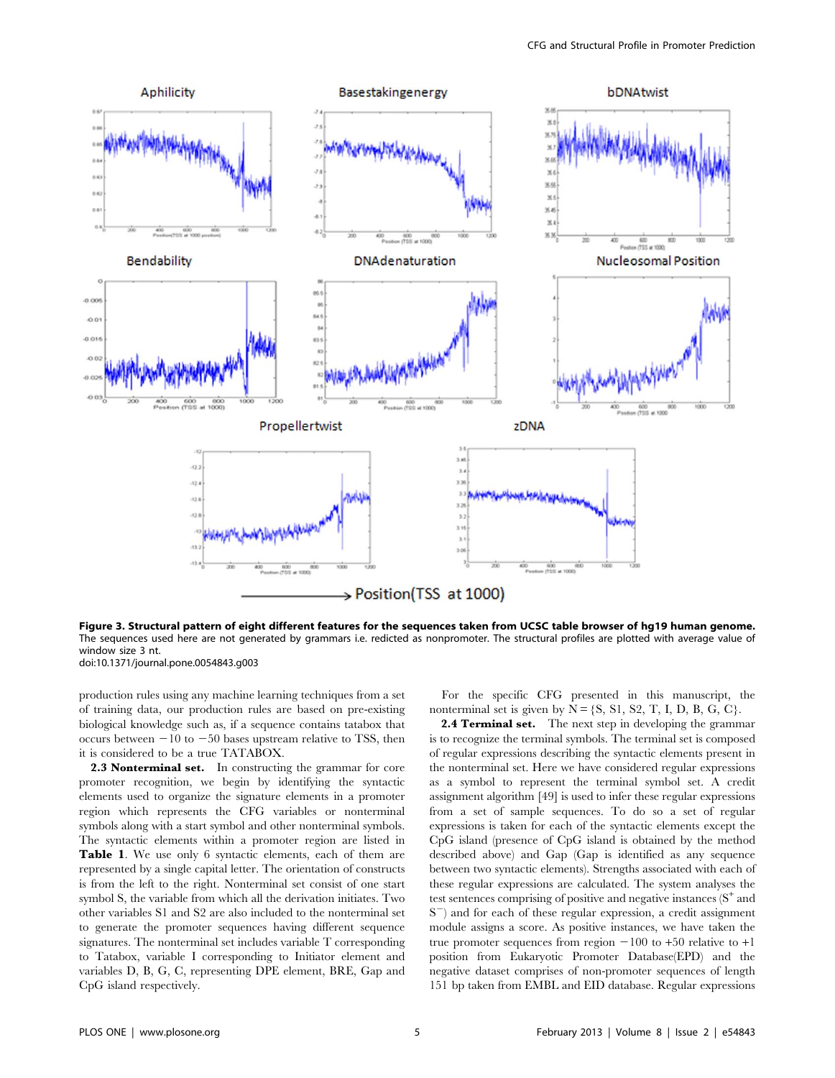

Figure 3. Structural pattern of eight different features for the sequences taken from UCSC table browser of hg19 human genome. The sequences used here are not generated by grammars i.e. redicted as nonpromoter. The structural profiles are plotted with average value of window size 3 nt. doi:10.1371/journal.pone.0054843.g003

production rules using any machine learning techniques from a set of training data, our production rules are based on pre-existing biological knowledge such as, if a sequence contains tatabox that occurs between  $-10$  to  $-50$  bases upstream relative to TSS, then it is considered to be a true TATABOX.

2.3 Nonterminal set. In constructing the grammar for core promoter recognition, we begin by identifying the syntactic elements used to organize the signature elements in a promoter region which represents the CFG variables or nonterminal symbols along with a start symbol and other nonterminal symbols. The syntactic elements within a promoter region are listed in Table 1. We use only 6 syntactic elements, each of them are represented by a single capital letter. The orientation of constructs is from the left to the right. Nonterminal set consist of one start symbol S, the variable from which all the derivation initiates. Two other variables S1 and S2 are also included to the nonterminal set to generate the promoter sequences having different sequence signatures. The nonterminal set includes variable T corresponding to Tatabox, variable I corresponding to Initiator element and variables D, B, G, C, representing DPE element, BRE, Gap and CpG island respectively.

For the specific CFG presented in this manuscript, the nonterminal set is given by  $N = \{S, S1, S2, T, I, D, B, G, C\}.$ 

2.4 Terminal set. The next step in developing the grammar is to recognize the terminal symbols. The terminal set is composed of regular expressions describing the syntactic elements present in the nonterminal set. Here we have considered regular expressions as a symbol to represent the terminal symbol set. A credit assignment algorithm [49] is used to infer these regular expressions from a set of sample sequences. To do so a set of regular expressions is taken for each of the syntactic elements except the CpG island (presence of CpG island is obtained by the method described above) and Gap (Gap is identified as any sequence between two syntactic elements). Strengths associated with each of these regular expressions are calculated. The system analyses the test sentences comprising of positive and negative instances  $(S<sup>+</sup>$  and  $S<sup>-</sup>$ ) and for each of these regular expression, a credit assignment module assigns a score. As positive instances, we have taken the true promoter sequences from region  $-100$  to  $+50$  relative to  $+1$ position from Eukaryotic Promoter Database(EPD) and the negative dataset comprises of non-promoter sequences of length 151 bp taken from EMBL and EID database. Regular expressions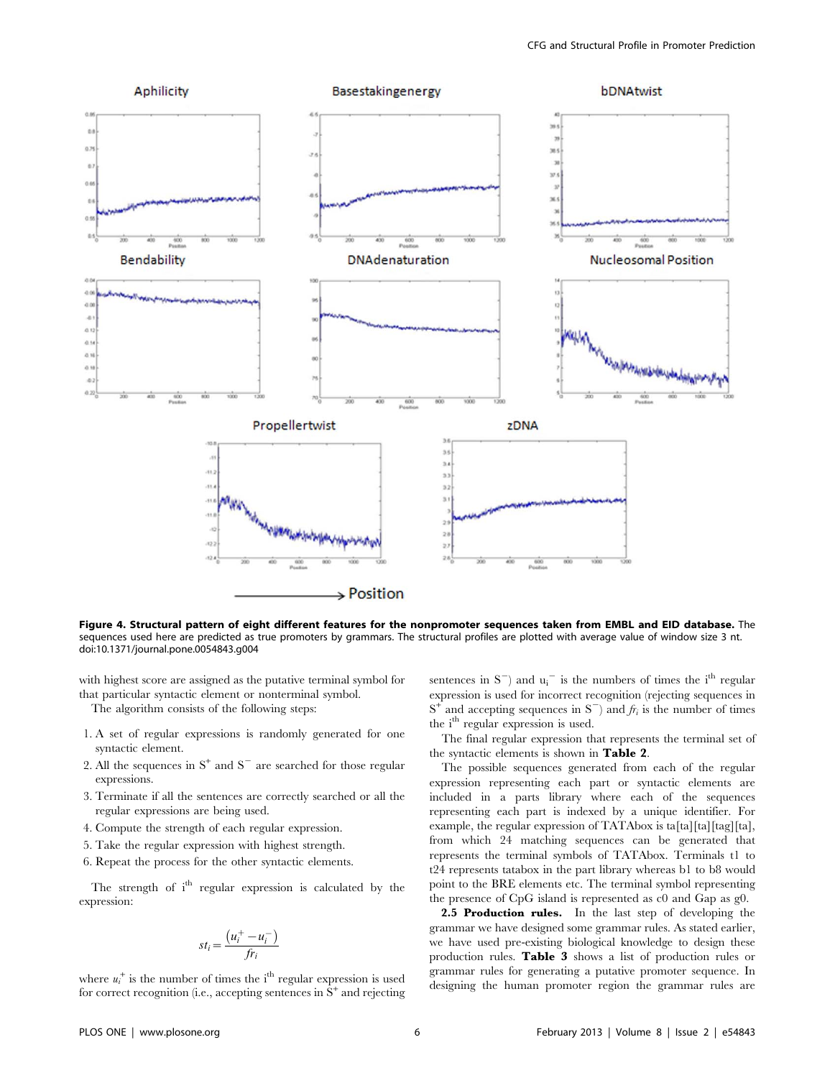

Figure 4. Structural pattern of eight different features for the nonpromoter sequences taken from EMBL and EID database. The sequences used here are predicted as true promoters by grammars. The structural profiles are plotted with average value of window size 3 nt. doi:10.1371/journal.pone.0054843.g004

with highest score are assigned as the putative terminal symbol for that particular syntactic element or nonterminal symbol.

The algorithm consists of the following steps:

- 1. A set of regular expressions is randomly generated for one syntactic element.
- 2. All the sequences in  $S^+$  and  $S^-$  are searched for those regular expressions.
- 3. Terminate if all the sentences are correctly searched or all the regular expressions are being used.
- 4. Compute the strength of each regular expression.
- 5. Take the regular expression with highest strength.
- 6. Repeat the process for the other syntactic elements.

The strength of i<sup>th</sup> regular expression is calculated by the expression:

$$
st_i = \frac{\left(u_i^+ - u_i^-\right)}{fr_i}
$$

where  $u_i^+$  is the number of times the i<sup>th</sup> regular expression is used for correct recognition (i.e., accepting sentences in  $S^+$  and rejecting

sentences in  $S^-$ ) and  $u_i^-$  is the numbers of times the i<sup>th</sup> regular expression is used for incorrect recognition (rejecting sequences in  $S^+$  and accepting sequences in  $S^-$ ) and  $f_i$  is the number of times the i<sup>th</sup> regular expression is used.

The final regular expression that represents the terminal set of the syntactic elements is shown in Table 2.

The possible sequences generated from each of the regular expression representing each part or syntactic elements are included in a parts library where each of the sequences representing each part is indexed by a unique identifier. For example, the regular expression of TATAbox is  $ta[ta][ta][ta]$ , from which 24 matching sequences can be generated that represents the terminal symbols of TATAbox. Terminals t1 to t24 represents tatabox in the part library whereas b1 to b8 would point to the BRE elements etc. The terminal symbol representing the presence of CpG island is represented as c0 and Gap as g0.

2.5 Production rules. In the last step of developing the grammar we have designed some grammar rules. As stated earlier, we have used pre-existing biological knowledge to design these production rules. Table 3 shows a list of production rules or grammar rules for generating a putative promoter sequence. In designing the human promoter region the grammar rules are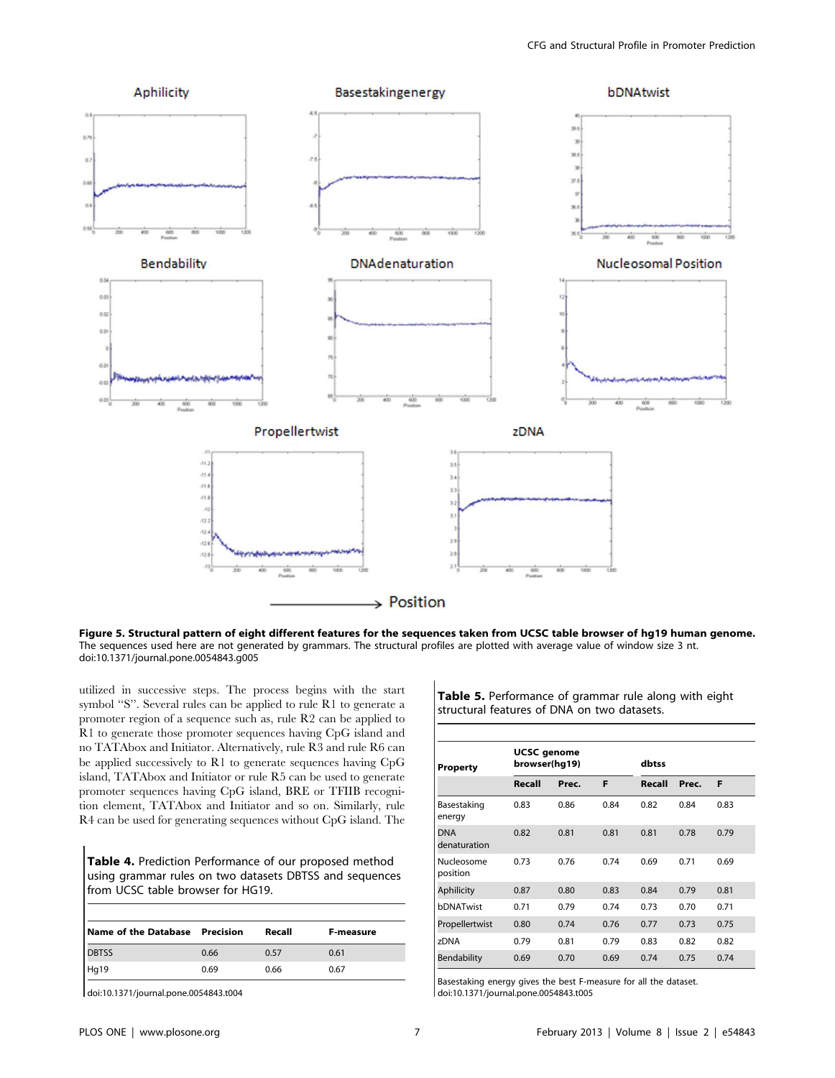

Figure 5. Structural pattern of eight different features for the sequences taken from UCSC table browser of hg19 human genome. The sequences used here are not generated by grammars. The structural profiles are plotted with average value of window size 3 nt. doi:10.1371/journal.pone.0054843.g005

utilized in successive steps. The process begins with the start symbol "S". Several rules can be applied to rule R1 to generate a promoter region of a sequence such as, rule R2 can be applied to R1 to generate those promoter sequences having CpG island and no TATAbox and Initiator. Alternatively, rule R3 and rule R6 can be applied successively to R1 to generate sequences having CpG island, TATAbox and Initiator or rule R5 can be used to generate promoter sequences having CpG island, BRE or TFIIB recognition element, TATAbox and Initiator and so on. Similarly, rule R4 can be used for generating sequences without CpG island. The

Table 4. Prediction Performance of our proposed method using grammar rules on two datasets DBTSS and sequences from UCSC table browser for HG19.

| Name of the Database Precision |      | Recall | F-measure |
|--------------------------------|------|--------|-----------|
| <b>DBTSS</b>                   | 0.66 | 0.57   | 0.61      |
| Hg19                           | 0.69 | 0.66   | 0.67      |
|                                |      |        |           |

doi:10.1371/journal.pone.0054843.t004

Table 5. Performance of grammar rule along with eight structural features of DNA on two datasets.

| Property                   | <b>UCSC</b> genome<br>browser(hg19) |       |      | dbtss  |       |      |  |
|----------------------------|-------------------------------------|-------|------|--------|-------|------|--|
|                            | Recall                              | Prec. | F    | Recall | Prec. | F    |  |
| Basestaking<br>energy      | 0.83                                | 0.86  | 0.84 | 0.82   | 0.84  | 0.83 |  |
| <b>DNA</b><br>denaturation | 0.82                                | 0.81  | 0.81 | 0.81   | 0.78  | 0.79 |  |
| Nucleosome<br>position     | 0.73                                | 0.76  | 0.74 | 0.69   | 0.71  | 0.69 |  |
| <b>Aphilicity</b>          | 0.87                                | 0.80  | 0.83 | 0.84   | 0.79  | 0.81 |  |
| bDNATwist                  | 0.71                                | 0.79  | 0.74 | 0.73   | 0.70  | 0.71 |  |
| Propellertwist             | 0.80                                | 0.74  | 0.76 | 0.77   | 0.73  | 0.75 |  |
| <b>zDNA</b>                | 0.79                                | 0.81  | 0.79 | 0.83   | 0.82  | 0.82 |  |
| <b>Bendability</b>         | 0.69                                | 0.70  | 0.69 | 0.74   | 0.75  | 0.74 |  |

Basestaking energy gives the best F-measure for all the dataset. doi:10.1371/journal.pone.0054843.t005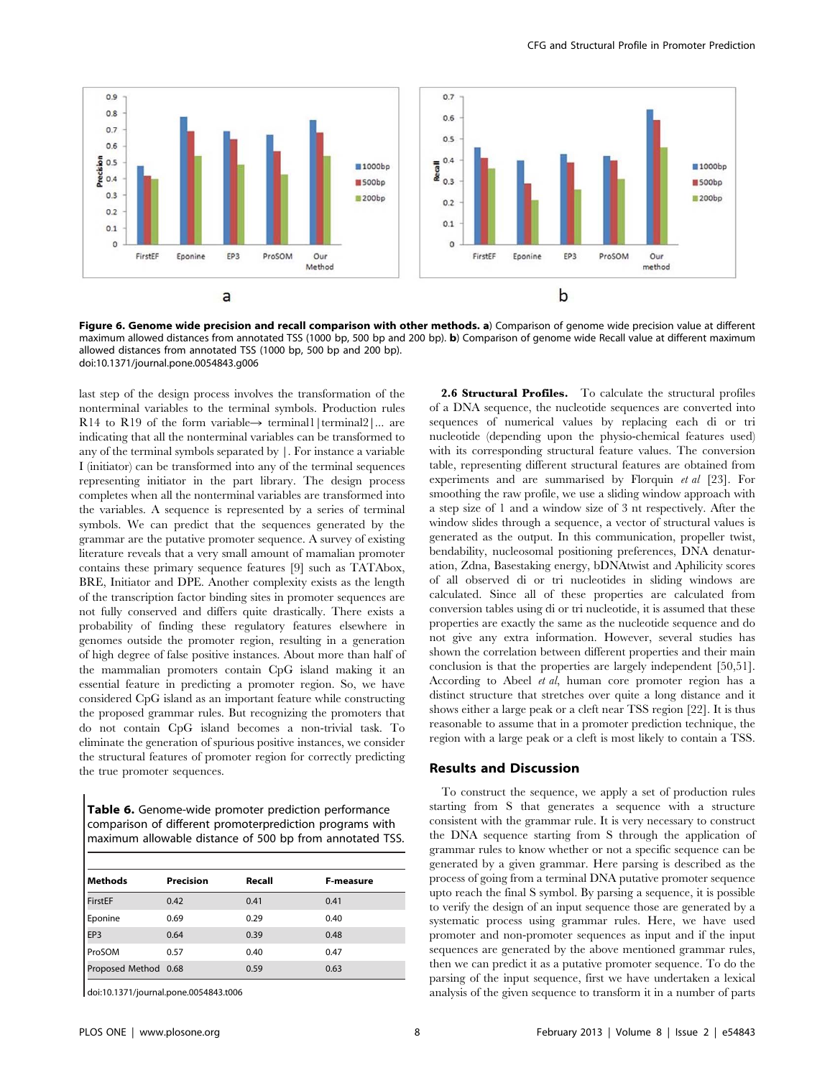

Figure 6. Genome wide precision and recall comparison with other methods. a) Comparison of genome wide precision value at different maximum allowed distances from annotated TSS (1000 bp, 500 bp and 200 bp). b) Comparison of genome wide Recall value at different maximum allowed distances from annotated TSS (1000 bp, 500 bp and 200 bp). doi:10.1371/journal.pone.0054843.g006

last step of the design process involves the transformation of the nonterminal variables to the terminal symbols. Production rules R14 to R19 of the form variable  $\rightarrow$  terminal1 | terminal2 | ... are indicating that all the nonterminal variables can be transformed to any of the terminal symbols separated by |. For instance a variable I (initiator) can be transformed into any of the terminal sequences representing initiator in the part library. The design process completes when all the nonterminal variables are transformed into the variables. A sequence is represented by a series of terminal symbols. We can predict that the sequences generated by the grammar are the putative promoter sequence. A survey of existing literature reveals that a very small amount of mamalian promoter contains these primary sequence features [9] such as TATAbox, BRE, Initiator and DPE. Another complexity exists as the length of the transcription factor binding sites in promoter sequences are not fully conserved and differs quite drastically. There exists a probability of finding these regulatory features elsewhere in genomes outside the promoter region, resulting in a generation of high degree of false positive instances. About more than half of the mammalian promoters contain CpG island making it an essential feature in predicting a promoter region. So, we have considered CpG island as an important feature while constructing the proposed grammar rules. But recognizing the promoters that do not contain CpG island becomes a non-trivial task. To eliminate the generation of spurious positive instances, we consider the structural features of promoter region for correctly predicting the true promoter sequences.

Table 6. Genome-wide promoter prediction performance comparison of different promoterprediction programs with maximum allowable distance of 500 bp from annotated TSS.

| l Methods            | <b>Precision</b> | Recall | <b>F-measure</b> |
|----------------------|------------------|--------|------------------|
| FirstEF              | 0.42             | 0.41   | 0.41             |
| Eponine              | 0.69             | 0.29   | 0.40             |
| EP3                  | 0.64             | 0.39   | 0.48             |
| <b>ProSOM</b>        | 0.57             | 0.40   | 0.47             |
| Proposed Method 0.68 |                  | 0.59   | 0.63             |

doi:10.1371/journal.pone.0054843.t006

2.6 Structural Profiles. To calculate the structural profiles of a DNA sequence, the nucleotide sequences are converted into sequences of numerical values by replacing each di or tri nucleotide (depending upon the physio-chemical features used) with its corresponding structural feature values. The conversion table, representing different structural features are obtained from experiments and are summarised by Florquin et al [23]. For smoothing the raw profile, we use a sliding window approach with a step size of 1 and a window size of 3 nt respectively. After the window slides through a sequence, a vector of structural values is generated as the output. In this communication, propeller twist, bendability, nucleosomal positioning preferences, DNA denaturation, Zdna, Basestaking energy, bDNAtwist and Aphilicity scores of all observed di or tri nucleotides in sliding windows are calculated. Since all of these properties are calculated from conversion tables using di or tri nucleotide, it is assumed that these properties are exactly the same as the nucleotide sequence and do not give any extra information. However, several studies has shown the correlation between different properties and their main conclusion is that the properties are largely independent [50,51]. According to Abeel et al, human core promoter region has a distinct structure that stretches over quite a long distance and it shows either a large peak or a cleft near TSS region [22]. It is thus reasonable to assume that in a promoter prediction technique, the region with a large peak or a cleft is most likely to contain a TSS.

## Results and Discussion

To construct the sequence, we apply a set of production rules starting from S that generates a sequence with a structure consistent with the grammar rule. It is very necessary to construct the DNA sequence starting from S through the application of grammar rules to know whether or not a specific sequence can be generated by a given grammar. Here parsing is described as the process of going from a terminal DNA putative promoter sequence upto reach the final S symbol. By parsing a sequence, it is possible to verify the design of an input sequence those are generated by a systematic process using grammar rules. Here, we have used promoter and non-promoter sequences as input and if the input sequences are generated by the above mentioned grammar rules, then we can predict it as a putative promoter sequence. To do the parsing of the input sequence, first we have undertaken a lexical analysis of the given sequence to transform it in a number of parts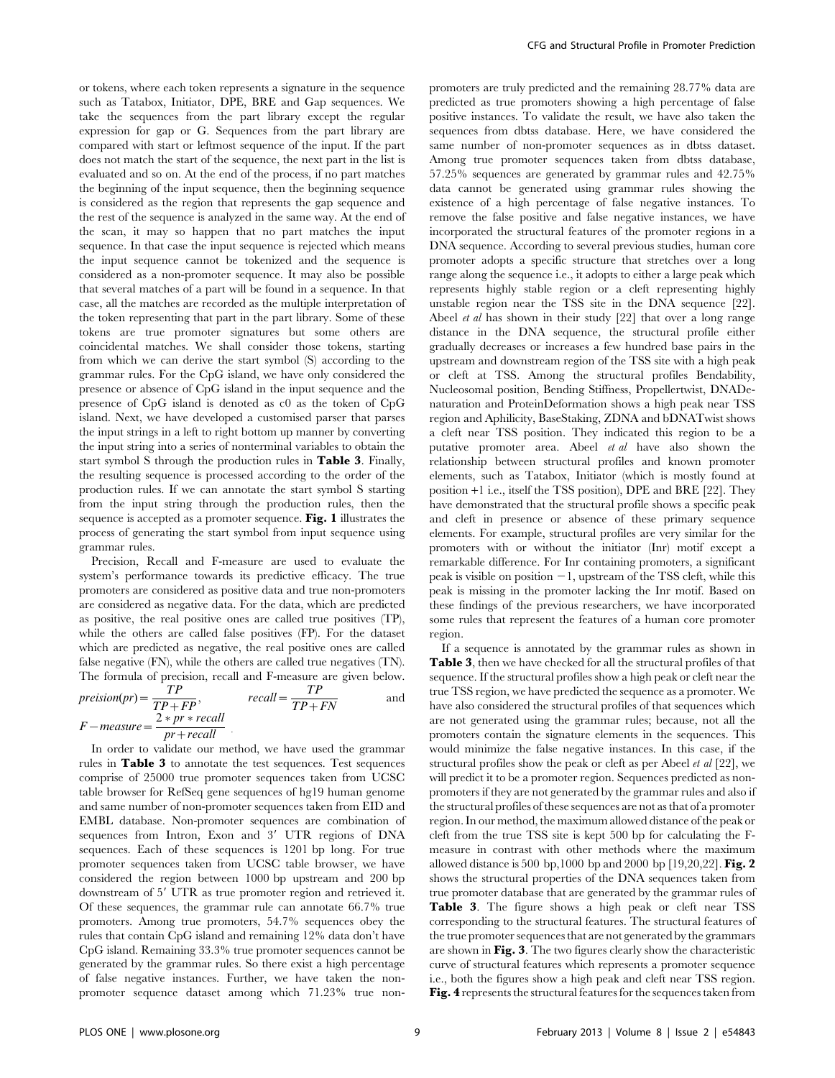or tokens, where each token represents a signature in the sequence such as Tatabox, Initiator, DPE, BRE and Gap sequences. We take the sequences from the part library except the regular expression for gap or G. Sequences from the part library are compared with start or leftmost sequence of the input. If the part does not match the start of the sequence, the next part in the list is evaluated and so on. At the end of the process, if no part matches the beginning of the input sequence, then the beginning sequence is considered as the region that represents the gap sequence and the rest of the sequence is analyzed in the same way. At the end of the scan, it may so happen that no part matches the input sequence. In that case the input sequence is rejected which means the input sequence cannot be tokenized and the sequence is considered as a non-promoter sequence. It may also be possible that several matches of a part will be found in a sequence. In that case, all the matches are recorded as the multiple interpretation of the token representing that part in the part library. Some of these tokens are true promoter signatures but some others are coincidental matches. We shall consider those tokens, starting from which we can derive the start symbol (S) according to the grammar rules. For the CpG island, we have only considered the presence or absence of CpG island in the input sequence and the presence of CpG island is denoted as c0 as the token of CpG island. Next, we have developed a customised parser that parses the input strings in a left to right bottom up manner by converting the input string into a series of nonterminal variables to obtain the start symbol S through the production rules in Table 3. Finally, the resulting sequence is processed according to the order of the production rules. If we can annotate the start symbol S starting from the input string through the production rules, then the sequence is accepted as a promoter sequence. Fig. 1 illustrates the process of generating the start symbol from input sequence using grammar rules.

Precision, Recall and F-measure are used to evaluate the system's performance towards its predictive efficacy. The true promoters are considered as positive data and true non-promoters are considered as negative data. For the data, which are predicted as positive, the real positive ones are called true positives (TP), while the others are called false positives (FP). For the dataset which are predicted as negative, the real positive ones are called false negative (FN), while the others are called true negatives (TN). The formula of precision, recall and F-measure are given below.  $\text{precision}(pr) = \frac{TP}{TP + FP},$   $\text{recall} = \frac{TP}{TP + FN}$  and  $F-measure = \frac{2 * pr * recall}{n}$  $pr+recall$ 

In order to validate our method, we have used the grammar rules in Table 3 to annotate the test sequences. Test sequences comprise of 25000 true promoter sequences taken from UCSC table browser for RefSeq gene sequences of hg19 human genome and same number of non-promoter sequences taken from EID and EMBL database. Non-promoter sequences are combination of sequences from Intron, Exon and 3' UTR regions of DNA sequences. Each of these sequences is 1201 bp long. For true promoter sequences taken from UCSC table browser, we have considered the region between 1000 bp upstream and 200 bp downstream of 5' UTR as true promoter region and retrieved it. Of these sequences, the grammar rule can annotate 66.7% true promoters. Among true promoters, 54.7% sequences obey the rules that contain CpG island and remaining 12% data don't have CpG island. Remaining 33.3% true promoter sequences cannot be generated by the grammar rules. So there exist a high percentage of false negative instances. Further, we have taken the nonpromoter sequence dataset among which 71.23% true nonpromoters are truly predicted and the remaining 28.77% data are predicted as true promoters showing a high percentage of false positive instances. To validate the result, we have also taken the sequences from dbtss database. Here, we have considered the same number of non-promoter sequences as in dbtss dataset. Among true promoter sequences taken from dbtss database, 57.25% sequences are generated by grammar rules and 42.75% data cannot be generated using grammar rules showing the existence of a high percentage of false negative instances. To remove the false positive and false negative instances, we have incorporated the structural features of the promoter regions in a DNA sequence. According to several previous studies, human core promoter adopts a specific structure that stretches over a long range along the sequence i.e., it adopts to either a large peak which represents highly stable region or a cleft representing highly unstable region near the TSS site in the DNA sequence [22]. Abeel *et al* has shown in their study [22] that over a long range distance in the DNA sequence, the structural profile either gradually decreases or increases a few hundred base pairs in the upstream and downstream region of the TSS site with a high peak or cleft at TSS. Among the structural profiles Bendability, Nucleosomal position, Bending Stiffness, Propellertwist, DNADenaturation and ProteinDeformation shows a high peak near TSS region and Aphilicity, BaseStaking, ZDNA and bDNATwist shows a cleft near TSS position. They indicated this region to be a putative promoter area. Abeel et al have also shown the relationship between structural profiles and known promoter elements, such as Tatabox, Initiator (which is mostly found at position +1 i.e., itself the TSS position), DPE and BRE [22]. They have demonstrated that the structural profile shows a specific peak and cleft in presence or absence of these primary sequence elements. For example, structural profiles are very similar for the promoters with or without the initiator (Inr) motif except a remarkable difference. For Inr containing promoters, a significant peak is visible on position  $-1$ , upstream of the TSS cleft, while this peak is missing in the promoter lacking the Inr motif. Based on these findings of the previous researchers, we have incorporated some rules that represent the features of a human core promoter region.

If a sequence is annotated by the grammar rules as shown in Table 3, then we have checked for all the structural profiles of that sequence. If the structural profiles show a high peak or cleft near the true TSS region, we have predicted the sequence as a promoter. We have also considered the structural profiles of that sequences which are not generated using the grammar rules; because, not all the promoters contain the signature elements in the sequences. This would minimize the false negative instances. In this case, if the structural profiles show the peak or cleft as per Abeel et al [22], we will predict it to be a promoter region. Sequences predicted as nonpromoters if they are not generated by the grammar rules and also if the structural profiles of these sequences are not as that of a promoter region. In our method, the maximum allowed distance of the peak or cleft from the true TSS site is kept 500 bp for calculating the Fmeasure in contrast with other methods where the maximum allowed distance is 500 bp,1000 bp and 2000 bp [19,20,22]. Fig. 2 shows the structural properties of the DNA sequences taken from true promoter database that are generated by the grammar rules of Table 3. The figure shows a high peak or cleft near TSS corresponding to the structural features. The structural features of the true promoter sequences that are not generated by the grammars are shown in Fig. 3. The two figures clearly show the characteristic curve of structural features which represents a promoter sequence i.e., both the figures show a high peak and cleft near TSS region. Fig. 4 represents the structural features for the sequences taken from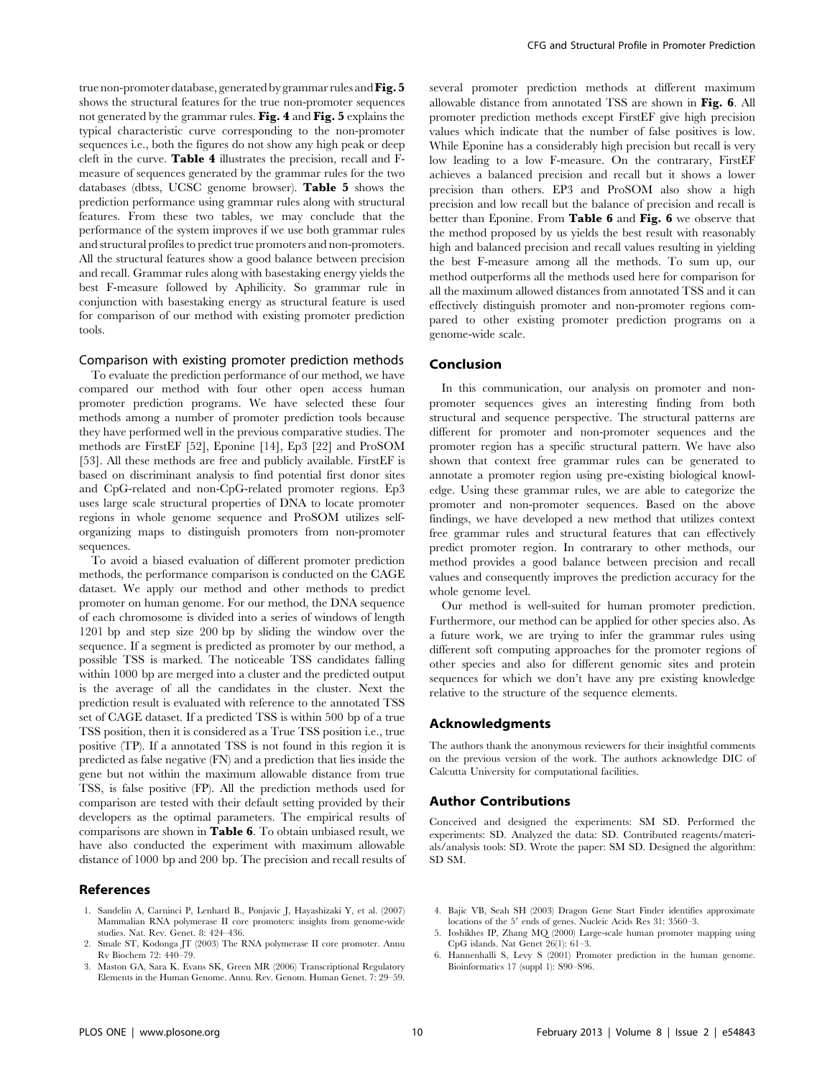true non-promoter database, generated by grammar rules and Fig. 5 shows the structural features for the true non-promoter sequences not generated by the grammar rules. Fig. 4 and Fig. 5 explains the typical characteristic curve corresponding to the non-promoter sequences i.e., both the figures do not show any high peak or deep cleft in the curve. Table 4 illustrates the precision, recall and Fmeasure of sequences generated by the grammar rules for the two databases (dbtss, UCSC genome browser). Table 5 shows the prediction performance using grammar rules along with structural features. From these two tables, we may conclude that the performance of the system improves if we use both grammar rules and structural profiles to predict true promoters and non-promoters. All the structural features show a good balance between precision and recall. Grammar rules along with basestaking energy yields the best F-measure followed by Aphilicity. So grammar rule in conjunction with basestaking energy as structural feature is used for comparison of our method with existing promoter prediction tools.

## Comparison with existing promoter prediction methods

To evaluate the prediction performance of our method, we have compared our method with four other open access human promoter prediction programs. We have selected these four methods among a number of promoter prediction tools because they have performed well in the previous comparative studies. The methods are FirstEF [52], Eponine [14], Ep3 [22] and ProSOM [53]. All these methods are free and publicly available. FirstEF is based on discriminant analysis to find potential first donor sites and CpG-related and non-CpG-related promoter regions. Ep3 uses large scale structural properties of DNA to locate promoter regions in whole genome sequence and ProSOM utilizes selforganizing maps to distinguish promoters from non-promoter sequences.

To avoid a biased evaluation of different promoter prediction methods, the performance comparison is conducted on the CAGE dataset. We apply our method and other methods to predict promoter on human genome. For our method, the DNA sequence of each chromosome is divided into a series of windows of length 1201 bp and step size 200 bp by sliding the window over the sequence. If a segment is predicted as promoter by our method, a possible TSS is marked. The noticeable TSS candidates falling within 1000 bp are merged into a cluster and the predicted output is the average of all the candidates in the cluster. Next the prediction result is evaluated with reference to the annotated TSS set of CAGE dataset. If a predicted TSS is within 500 bp of a true TSS position, then it is considered as a True TSS position i.e., true positive (TP). If a annotated TSS is not found in this region it is predicted as false negative (FN) and a prediction that lies inside the gene but not within the maximum allowable distance from true TSS, is false positive (FP). All the prediction methods used for comparison are tested with their default setting provided by their developers as the optimal parameters. The empirical results of comparisons are shown in Table 6. To obtain unbiased result, we have also conducted the experiment with maximum allowable distance of 1000 bp and 200 bp. The precision and recall results of

## References

- 1. Sandelin A, Carninci P, Lenhard B., Ponjavic J, Hayashizaki Y, et al. (2007) Mammalian RNA polymerase II core promoters: insights from genome-wide studies. Nat. Rev. Genet. 8: 424–436.
- 2. Smale ST, Kodonga JT (2003) The RNA polymerase II core promoter. Annu Rv Biochem 72: 440–79.
- 3. Maston GA, Sara K. Evans SK, Green MR (2006) Transcriptional Regulatory Elements in the Human Genome. Annu. Rev. Genom. Human Genet. 7: 29–59.

several promoter prediction methods at different maximum allowable distance from annotated TSS are shown in Fig. 6. All promoter prediction methods except FirstEF give high precision values which indicate that the number of false positives is low. While Eponine has a considerably high precision but recall is very low leading to a low F-measure. On the contrarary, FirstEF achieves a balanced precision and recall but it shows a lower precision than others. EP3 and ProSOM also show a high precision and low recall but the balance of precision and recall is better than Eponine. From Table 6 and Fig. 6 we observe that the method proposed by us yields the best result with reasonably high and balanced precision and recall values resulting in yielding the best F-measure among all the methods. To sum up, our method outperforms all the methods used here for comparison for all the maximum allowed distances from annotated TSS and it can effectively distinguish promoter and non-promoter regions compared to other existing promoter prediction programs on a genome-wide scale.

# Conclusion

In this communication, our analysis on promoter and nonpromoter sequences gives an interesting finding from both structural and sequence perspective. The structural patterns are different for promoter and non-promoter sequences and the promoter region has a specific structural pattern. We have also shown that context free grammar rules can be generated to annotate a promoter region using pre-existing biological knowledge. Using these grammar rules, we are able to categorize the promoter and non-promoter sequences. Based on the above findings, we have developed a new method that utilizes context free grammar rules and structural features that can effectively predict promoter region. In contrarary to other methods, our method provides a good balance between precision and recall values and consequently improves the prediction accuracy for the whole genome level.

Our method is well-suited for human promoter prediction. Furthermore, our method can be applied for other species also. As a future work, we are trying to infer the grammar rules using different soft computing approaches for the promoter regions of other species and also for different genomic sites and protein sequences for which we don't have any pre existing knowledge relative to the structure of the sequence elements.

## Acknowledgments

The authors thank the anonymous reviewers for their insightful comments on the previous version of the work. The authors acknowledge DIC of Calcutta University for computational facilities.

## Author Contributions

Conceived and designed the experiments: SM SD. Performed the experiments: SD. Analyzed the data: SD. Contributed reagents/materials/analysis tools: SD. Wrote the paper: SM SD. Designed the algorithm: SD SM.

- 4. Bajic VB, Seah SH (2003) Dragon Gene Start Finder identifies approximate locations of the 5' ends of genes. Nucleic Acids Res 31: 3560-3.
- 5. Ioshikhes IP, Zhang MQ (2000) Large-scale human promoter mapping using CpG islands. Nat Genet 26(1): 61–3.
- 6. Hannenhalli S, Levy S (2001) Promoter prediction in the human genome. Bioinformatics 17 (suppl 1): S90–S96.